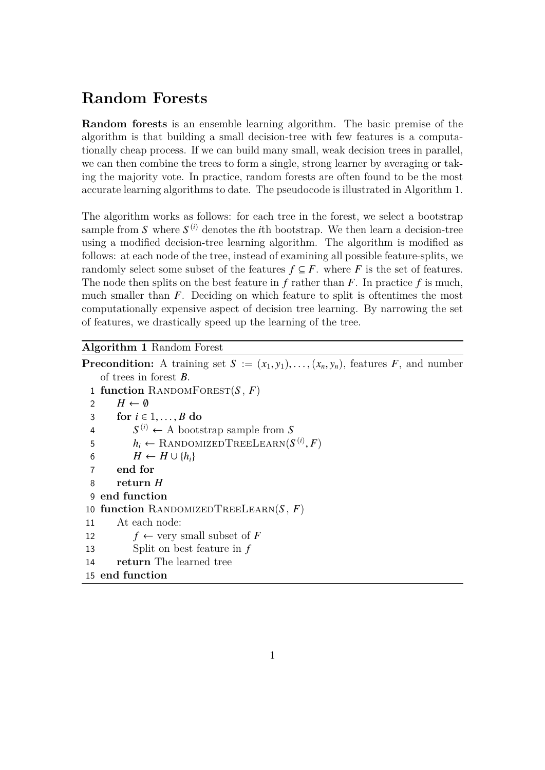## **Random Forests**

**Random forests** is an ensemble learning algorithm. The basic premise of the algorithm is that building a small decision-tree with few features is a computationally cheap process. If we can build many small, weak decision trees in parallel, we can then combine the trees to form a single, strong learner by averaging or taking the majority vote. In practice, random forests are often found to be the most accurate learning algorithms to date. The pseudocode is illustrated in Algorithm 1.

The algorithm works as follows: for each tree in the forest, we select a bootstrap sample from  $S$  where  $S^{(i)}$  denotes the *i*th bootstrap. We then learn a decision-tree using a modified decision-tree learning algorithm. The algorithm is modified as follows: at each node of the tree, instead of examining all possible feature-splits, we randomly select some subset of the features  $f \subseteq F$ , where *F* is the set of features. The node then splits on the best feature in *f* rather than *F*. In practice *f* is much, much smaller than *F*. Deciding on which feature to split is oftentimes the most computationally expensive aspect of decision tree learning. By narrowing the set of features, we drastically speed up the learning of the tree.

## **Algorithm 1** Random Forest

**Precondition:** A training set  $S := (x_1, y_1), \ldots, (x_n, y_n)$ , features *F*, and number of trees in forest *B*. **function** RANDOMFOREST $(S, F)$  $H \leftarrow \emptyset$ **for**  $i \in 1, ..., B$  **do**  $S^{(i)} \leftarrow A$  bootstrap sample from *S*  $h_i \leftarrow \text{RandomizedTreeLength}(S^{(i)}, F)$  $H \leftarrow H \cup \{h_i\}$ 7 **end for** 8 **return** *H* **end function function** RandomizedTreeLearn(*S* , *F*) At each node:  $f \leftarrow \text{very small subset of } F$  Split on best feature in *f* **return** The learned tree **end function**